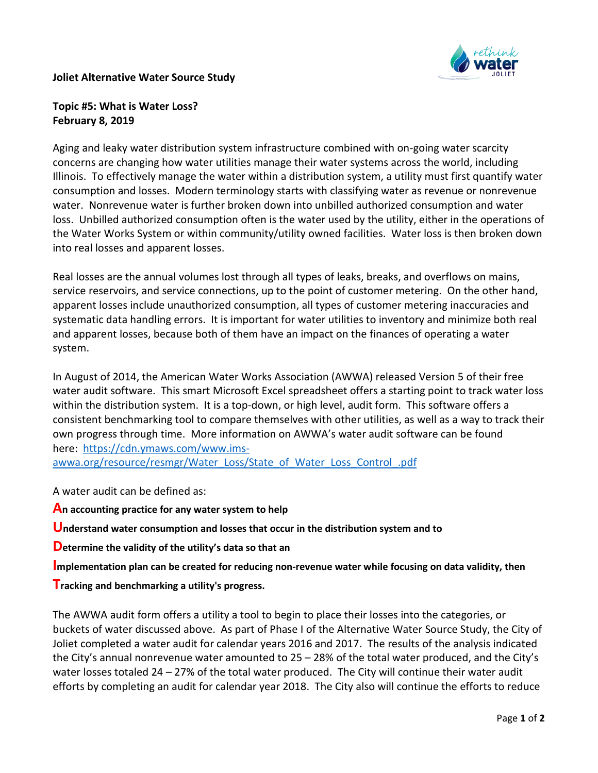

## **Joliet Alternative Water Source Study**

## **Topic #5: What is Water Loss? February 8, 2019**

Aging and leaky water distribution system infrastructure combined with on-going water scarcity concerns are changing how water utilities manage their water systems across the world, including Illinois. To effectively manage the water within a distribution system, a utility must first quantify water consumption and losses. Modern terminology starts with classifying water as revenue or nonrevenue water. Nonrevenue water is further broken down into unbilled authorized consumption and water loss. Unbilled authorized consumption often is the water used by the utility, either in the operations of the Water Works System or within community/utility owned facilities. Water loss is then broken down into real losses and apparent losses.

Real losses are the annual volumes lost through all types of leaks, breaks, and overflows on mains, service reservoirs, and service connections, up to the point of customer metering. On the other hand, apparent losses include unauthorized consumption, all types of customer metering inaccuracies and systematic data handling errors. It is important for water utilities to inventory and minimize both real and apparent losses, because both of them have an impact on the finances of operating a water system.

In August of 2014, the American Water Works Association (AWWA) released Version 5 of their free water audit software. This smart Microsoft Excel spreadsheet offers a starting point to track water loss within the distribution system. It is a top-down, or high level, audit form. This software offers a consistent benchmarking tool to compare themselves with other utilities, as well as a way to track their own progress through time. More information on AWWA's water audit software can be found here: [https://cdn.ymaws.com/www.ims-](https://na01.safelinks.protection.outlook.com/?url=https%3A%2F%2Fcdn.ymaws.com%2Fwww.ims-awwa.org%2Fresource%2Fresmgr%2FWater_Loss%2FState_of_Water_Loss_Control_.pdf&data=01%7C01%7Ctogrady%40cmtengr.com%7C5c2c61ec21c743e33bdd08d68df0073f%7Cb837cea6fc4a45b4bbd7c6d3b1216fdd%7C0&sdata=yuDGy5xnDLivHfDRiuwGkIWrwCZDcWgrUODs1eH4FtM%3D&reserved=0)

[awwa.org/resource/resmgr/Water\\_Loss/State\\_of\\_Water\\_Loss\\_Control\\_.pdf](https://na01.safelinks.protection.outlook.com/?url=https%3A%2F%2Fcdn.ymaws.com%2Fwww.ims-awwa.org%2Fresource%2Fresmgr%2FWater_Loss%2FState_of_Water_Loss_Control_.pdf&data=01%7C01%7Ctogrady%40cmtengr.com%7C5c2c61ec21c743e33bdd08d68df0073f%7Cb837cea6fc4a45b4bbd7c6d3b1216fdd%7C0&sdata=yuDGy5xnDLivHfDRiuwGkIWrwCZDcWgrUODs1eH4FtM%3D&reserved=0)

A water audit can be defined as:

**An accounting practice for any water system to help**

**Understand water consumption and losses that occur in the distribution system and to**

**Determine the validity of the utility's data so that an**

**Implementation plan can be created for reducing non-revenue water while focusing on data validity, then**

**Tracking and benchmarking a utility's progress.**

The AWWA audit form offers a utility a tool to begin to place their losses into the categories, or buckets of water discussed above. As part of Phase I of the Alternative Water Source Study, the City of Joliet completed a water audit for calendar years 2016 and 2017. The results of the analysis indicated the City's annual nonrevenue water amounted to 25 – 28% of the total water produced, and the City's water losses totaled 24 – 27% of the total water produced. The City will continue their water audit efforts by completing an audit for calendar year 2018. The City also will continue the efforts to reduce